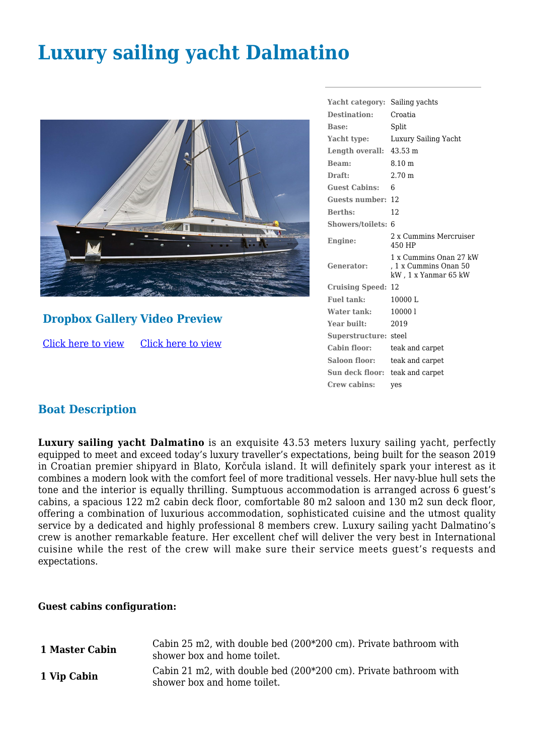# **Luxury sailing yacht Dalmatino**



## **Dropbox Gallery Video Preview**

[Click here to view](https://www.dropbox.com/sh/qdv0hy6goyrthxz/AAAB4ZVnIfgTaxm8VFQJh-2ja?dl=0) [Click here to view](https://youtu.be/s7eZDhWBa-4)

| Yacht category:           | Sailing yachts                                                          |
|---------------------------|-------------------------------------------------------------------------|
| Destination:              | Croatia                                                                 |
| Base:                     | Split                                                                   |
| Yacht type:               | Luxury Sailing Yacht                                                    |
| Length overall:           | $43.53 \text{ m}$                                                       |
| Beam:                     | $8.10 \text{ m}$                                                        |
| Draft:                    | 2.70 <sub>m</sub>                                                       |
| <b>Guest Cabins:</b>      | 6                                                                       |
| Guests number:            | 12                                                                      |
| <b>Berths:</b>            | 12                                                                      |
| Showers/toilets: 6        |                                                                         |
| Engine:                   | 2 x Cummins Mercruiser<br>450 HP                                        |
| Generator:                | 1 x Cummins Onan 27 kW<br>, 1 x Cummins Onan 50<br>kW, 1 x Yanmar 65 kW |
| <b>Cruising Speed: 12</b> |                                                                         |
| <b>Fuel tank:</b>         | 10000L                                                                  |
| Water tank:               | 100001                                                                  |
| Year built:               | 2019                                                                    |
| Superstructure: steel     |                                                                         |
| Cabin floor:              | teak and carpet                                                         |
| Saloon floor:             | teak and carpet                                                         |
| Sun deck floor:           | teak and carpet                                                         |
| Crew cabins:              | yes                                                                     |

## **Boat Description**

**Luxury sailing yacht Dalmatino** is an exquisite 43.53 meters luxury sailing yacht, perfectly equipped to meet and exceed today's luxury traveller's expectations, being built for the season 2019 in Croatian premier shipyard in Blato, Korčula island. It will definitely spark your interest as it combines a modern look with the comfort feel of more traditional vessels. Her navy-blue hull sets the tone and the interior is equally thrilling. Sumptuous accommodation is arranged across 6 guest's cabins, a spacious 122 m2 cabin deck floor, comfortable 80 m2 saloon and 130 m2 sun deck floor, offering a combination of luxurious accommodation, sophisticated cuisine and the utmost quality service by a dedicated and highly professional 8 members crew. Luxury sailing yacht Dalmatino's crew is another remarkable feature. Her excellent chef will deliver the very best in International cuisine while the rest of the crew will make sure their service meets guest's requests and expectations.

#### **Guest cabins configuration:**

| 1 Master Cabin | Cabin 25 m2, with double bed (200*200 cm). Private bathroom with<br>shower box and home toilet. |
|----------------|-------------------------------------------------------------------------------------------------|
| 1 Vip Cabin    | Cabin 21 m2, with double bed (200*200 cm). Private bathroom with<br>shower box and home toilet. |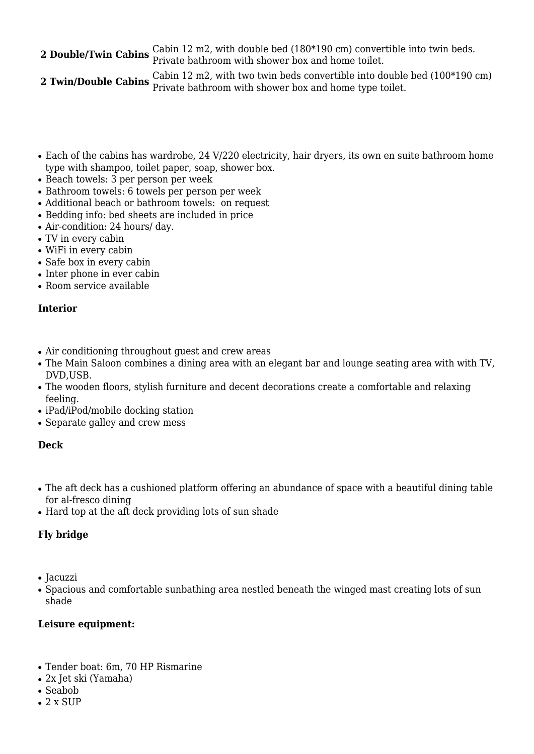## **2 Double/Twin Cabins** Cabin 12 m2, with double bed (180\*190 cm) convertible into twin beds. Private bathroom with shower box and home toilet.

**2 Twin/Double Cabins** <sup>Cabin 12 m2, with two twin beds convertible into double bed (100\*190 cm)<br>**2 Twin/Double Cabins** Private bathroom with shower box and home type toilet.</sup>

- Each of the cabins has wardrobe, 24 V/220 electricity, hair dryers, its own en suite bathroom home type with shampoo, toilet paper, soap, shower box.
- Beach towels: 3 per person per week
- Bathroom towels: 6 towels per person per week
- Additional beach or bathroom towels: on request
- Bedding info: bed sheets are included in price
- Air-condition: 24 hours/ day.
- TV in every cabin
- WiFi in every cabin
- Safe box in every cabin
- Inter phone in ever cabin
- $\bullet$  Room service available

#### **Interior**

- Air conditioning throughout guest and crew areas
- The Main Saloon combines a dining area with an elegant bar and lounge seating area with with TV, DVD,USB.
- The wooden floors, stylish furniture and decent decorations create a comfortable and relaxing feeling.
- iPad/iPod/mobile docking station
- Separate galley and crew mess

#### **Deck**

- The aft deck has a cushioned platform offering an abundance of space with a beautiful dining table for al-fresco dining
- Hard top at the aft deck providing lots of sun shade

#### **Fly bridge**

- Jacuzzi
- Spacious and comfortable sunbathing area nestled beneath the winged mast creating lots of sun shade

#### **Leisure equipment:**

- Tender boat: 6m, 70 HP Rismarine
- 2x Jet ski (Yamaha)
- Seabob
- $\bullet$  2 x SUP